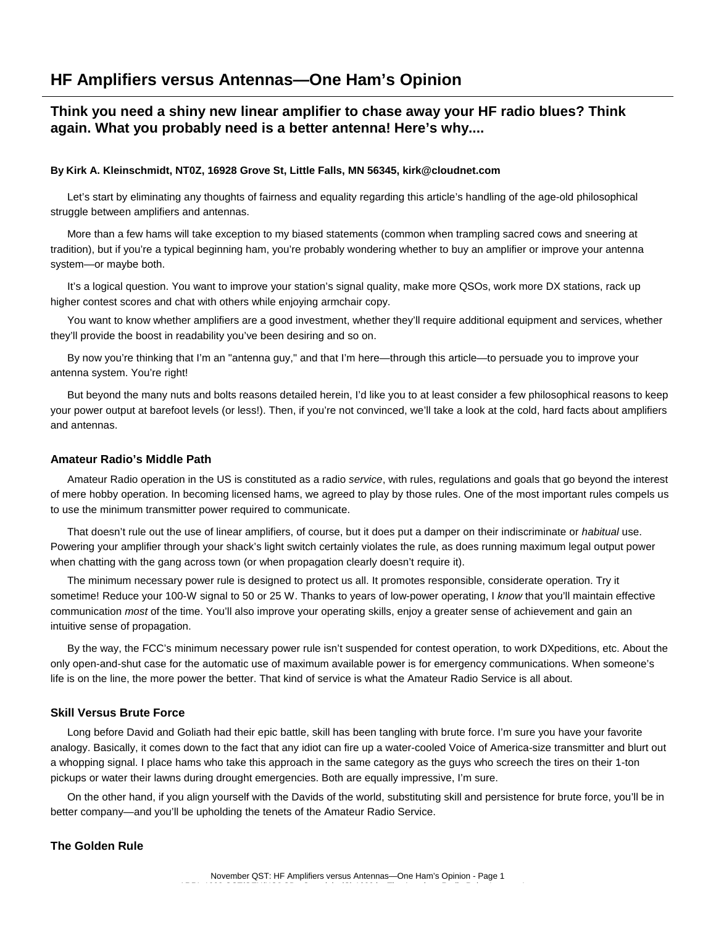# **HF Amplifiers versus Antennas—One Ham's Opinion**

## **Think you need a shiny new linear amplifier to chase away your HF radio blues? Think again. What you probably need is a better antenna! Here's why....**

#### **By Kirk A. Kleinschmidt, NT0Z, 16928 Grove St, Little Falls, MN 56345, kirk@cloudnet.com**

Let's start by eliminating any thoughts of fairness and equality regarding this article's handling of the age-old philosophical struggle between amplifiers and antennas.

More than a few hams will take exception to my biased statements (common when trampling sacred cows and sneering at tradition), but if you're a typical beginning ham, you're probably wondering whether to buy an amplifier or improve your antenna system—or maybe both.

It's a logical question. You want to improve your station's signal quality, make more QSOs, work more DX stations, rack up higher contest scores and chat with others while enjoying armchair copy.

You want to know whether amplifiers are a good investment, whether they'll require additional equipment and services, whether they'll provide the boost in readability you've been desiring and so on.

By now you're thinking that I'm an "antenna guy," and that I'm here—through this article—to persuade you to improve your antenna system. You're right!

But beyond the many nuts and bolts reasons detailed herein, I'd like you to at least consider a few philosophical reasons to keep your power output at barefoot levels (or less!). Then, if you're not convinced, we'll take a look at the cold, hard facts about amplifiers and antennas.

#### **Amateur Radio's Middle Path**

Amateur Radio operation in the US is constituted as a radio *service*, with rules, regulations and goals that go beyond the interest of mere hobby operation. In becoming licensed hams, we agreed to play by those rules. One of the most important rules compels us to use the minimum transmitter power required to communicate.

That doesn't rule out the use of linear amplifiers, of course, but it does put a damper on their indiscriminate or *habitual* use. Powering your amplifier through your shack's light switch certainly violates the rule, as does running maximum legal output power when chatting with the gang across town (or when propagation clearly doesn't require it).

The minimum necessary power rule is designed to protect us all. It promotes responsible, considerate operation. Try it sometime! Reduce your 100-W signal to 50 or 25 W. Thanks to years of low-power operating, I *know* that you'll maintain effective communication *most* of the time. You'll also improve your operating skills, enjoy a greater sense of achievement and gain an intuitive sense of propagation.

By the way, the FCC's minimum necessary power rule isn't suspended for contest operation, to work DXpeditions, etc. About the only open-and-shut case for the automatic use of maximum available power is for emergency communications. When someone's life is on the line, the more power the better. That kind of service is what the Amateur Radio Service is all about.

### **Skill Versus Brute Force**

Long before David and Goliath had their epic battle, skill has been tangling with brute force. I'm sure you have your favorite analogy. Basically, it comes down to the fact that any idiot can fire up a water-cooled Voice of America-size transmitter and blurt out a whopping signal. I place hams who take this approach in the same category as the guys who screech the tires on their 1-ton pickups or water their lawns during drought emergencies. Both are equally impressive, I'm sure.

On the other hand, if you align yourself with the Davids of the world, substituting skill and persistence for brute force, you'll be in better company—and you'll be upholding the tenets of the Amateur Radio Service.

## **The Golden Rule**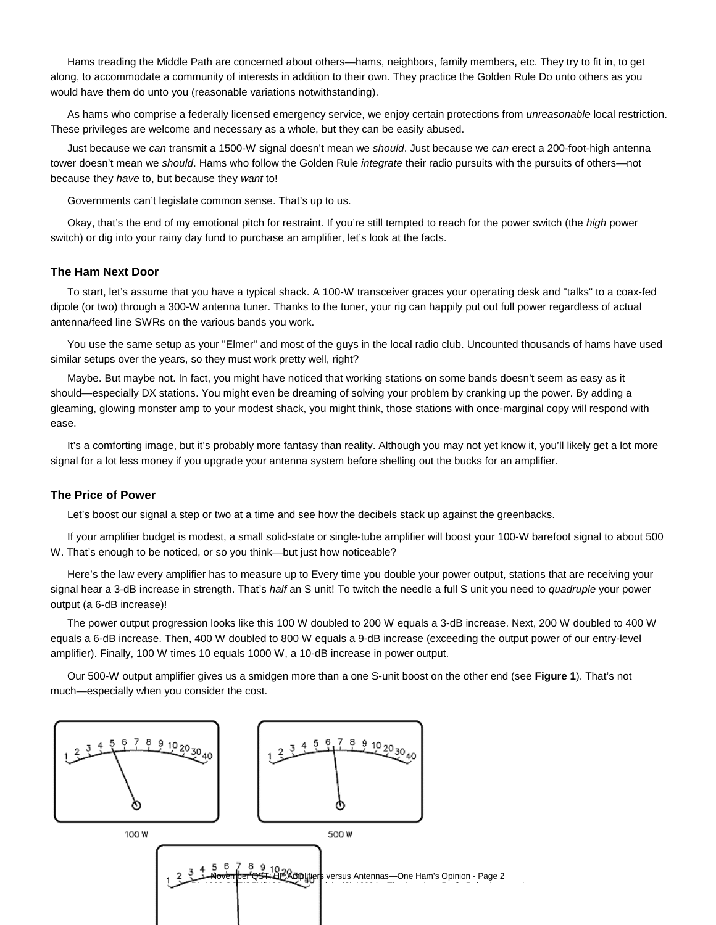Hams treading the Middle Path are concerned about others—hams, neighbors, family members, etc. They try to fit in, to get along, to accommodate a community of interests in addition to their own. They practice the Golden Rule Do unto others as you would have them do unto you (reasonable variations notwithstanding).

As hams who comprise a federally licensed emergency service, we enjoy certain protections from *unreasonable* local restriction. These privileges are welcome and necessary as a whole, but they can be easily abused.

Just because we *can* transmit a 1500-W signal doesn't mean we *should*. Just because we *can* erect a 200-foot-high antenna tower doesn't mean we *should*. Hams who follow the Golden Rule *integrate* their radio pursuits with the pursuits of others—not because they *have* to, but because they *want* to!

Governments can't legislate common sense. That's up to us.

Okay, that's the end of my emotional pitch for restraint. If you're still tempted to reach for the power switch (the *high* power switch) or dig into your rainy day fund to purchase an amplifier, let's look at the facts.

#### **The Ham Next Door**

To start, let's assume that you have a typical shack. A 100-W transceiver graces your operating desk and "talks" to a coax-fed dipole (or two) through a 300-W antenna tuner. Thanks to the tuner, your rig can happily put out full power regardless of actual antenna/feed line SWRs on the various bands you work.

You use the same setup as your "Elmer" and most of the guys in the local radio club. Uncounted thousands of hams have used similar setups over the years, so they must work pretty well, right?

Maybe. But maybe not. In fact, you might have noticed that working stations on some bands doesn't seem as easy as it should—especially DX stations. You might even be dreaming of solving your problem by cranking up the power. By adding a gleaming, glowing monster amp to your modest shack, you might think, those stations with once-marginal copy will respond with ease.

It's a comforting image, but it's probably more fantasy than reality. Although you may not yet know it, you'll likely get a lot more signal for a lot less money if you upgrade your antenna system before shelling out the bucks for an amplifier.

#### **The Price of Power**

Let's boost our signal a step or two at a time and see how the decibels stack up against the greenbacks.

If your amplifier budget is modest, a small solid-state or single-tube amplifier will boost your 100-W barefoot signal to about 500 W. That's enough to be noticed, or so you think—but just how noticeable?

Here's the law every amplifier has to measure up to Every time you double your power output, stations that are receiving your signal hear a 3-dB increase in strength. That's *half* an S unit! To twitch the needle a full S unit you need to *quadruple* your power output (a 6-dB increase)!

The power output progression looks like this 100 W doubled to 200 W equals a 3-dB increase. Next, 200 W doubled to 400 W equals a 6-dB increase. Then, 400 W doubled to 800 W equals a 9-dB increase (exceeding the output power of our entry-level amplifier). Finally, 100 W times 10 equals 1000 W, a 10-dB increase in power output.

Our 500-W output amplifier gives us a smidgen more than a one S-unit boost on the other end (see **Figure 1**). That's not much—especially when you consider the cost.

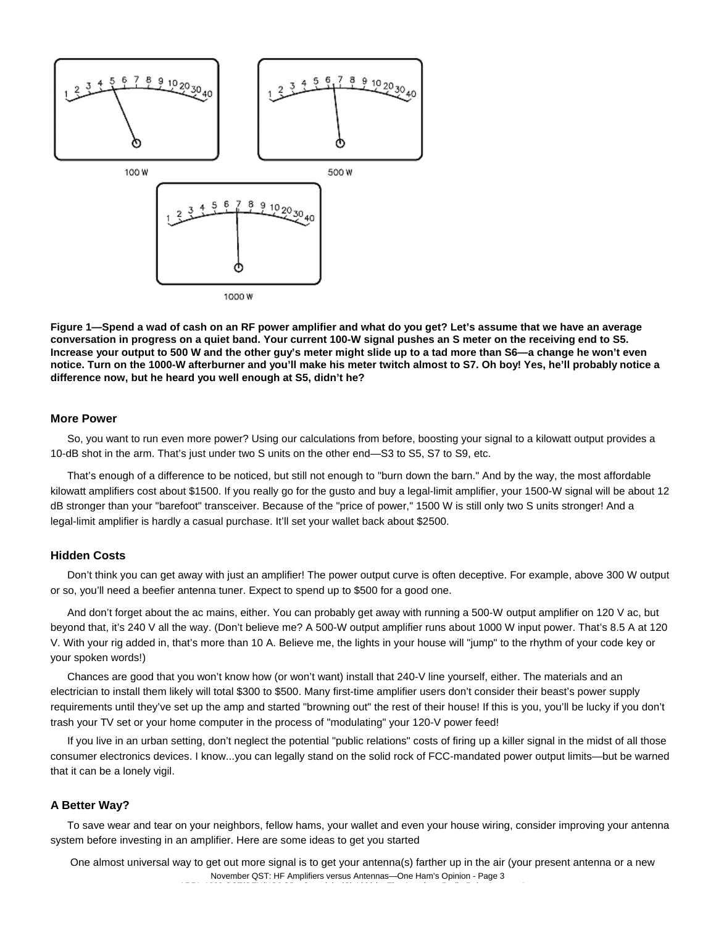

**Figure 1—Spend a wad of cash on an RF power amplifier and what do you get? Let's assume that we have an average conversation in progress on a quiet band. Your current 100-W signal pushes an S meter on the receiving end to S5. Increase your output to 500 W and the other guy's meter might slide up to a tad more than S6—a change he won't even notice. Turn on the 1000-W afterburner and you'll make his meter twitch almost to S7. Oh boy! Yes, he'll probably notice a difference now, but he heard you well enough at S5, didn't he?**

#### **More Power**

So, you want to run even more power? Using our calculations from before, boosting your signal to a kilowatt output provides a 10-dB shot in the arm. That's just under two S units on the other end—S3 to S5, S7 to S9, etc.

That's enough of a difference to be noticed, but still not enough to "burn down the barn." And by the way, the most affordable kilowatt amplifiers cost about \$1500. If you really go for the gusto and buy a legal-limit amplifier, your 1500-W signal will be about 12 dB stronger than your "barefoot" transceiver. Because of the "price of power," 1500 W is still only two S units stronger! And a legal-limit amplifier is hardly a casual purchase. It'll set your wallet back about \$2500.

## **Hidden Costs**

Don't think you can get away with just an amplifier! The power output curve is often deceptive. For example, above 300 W output or so, you'll need a beefier antenna tuner. Expect to spend up to \$500 for a good one.

And don't forget about the ac mains, either. You can probably get away with running a 500-W output amplifier on 120 V ac, but beyond that, it's 240 V all the way. (Don't believe me? A 500-W output amplifier runs about 1000 W input power. That's 8.5 A at 120 V. With your rig added in, that's more than 10 A. Believe me, the lights in your house will "jump" to the rhythm of your code key or your spoken words!)

Chances are good that you won't know how (or won't want) install that 240-V line yourself, either. The materials and an electrician to install them likely will total \$300 to \$500. Many first-time amplifier users don't consider their beast's power supply requirements until they've set up the amp and started "browning out" the rest of their house! If this is you, you'll be lucky if you don't trash your TV set or your home computer in the process of "modulating" your 120-V power feed!

If you live in an urban setting, don't neglect the potential "public relations" costs of firing up a killer signal in the midst of all those consumer electronics devices. I know...you can legally stand on the solid rock of FCC-mandated power output limits—but be warned that it can be a lonely vigil.

## **A Better Way?**

To save wear and tear on your neighbors, fellow hams, your wallet and even your house wiring, consider improving your antenna system before investing in an amplifier. Here are some ideas to get you started

 One almost universal way to get out more signal is to get your antenna(s) farther up in the air (your present antenna or a new November QST: HF Amplifiers versus Antennas—One Ham's Opinion - Page 3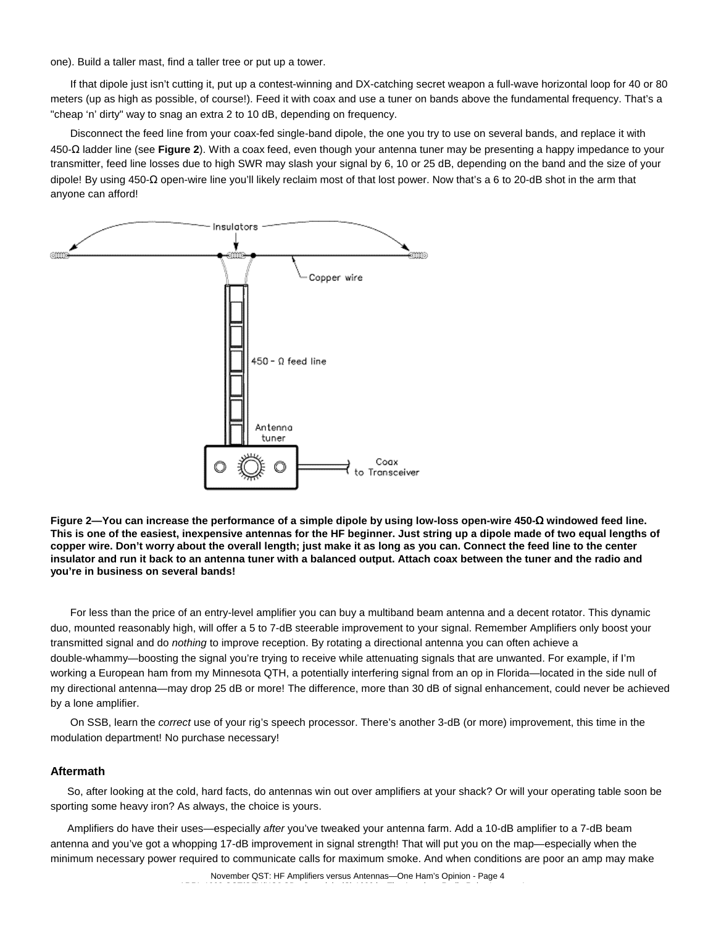one). Build a taller mast, find a taller tree or put up a tower.

 If that dipole just isn't cutting it, put up a contest-winning and DX-catching secret weapon a full-wave horizontal loop for 40 or 80 meters (up as high as possible, of course!). Feed it with coax and use a tuner on bands above the fundamental frequency. That's a "cheap 'n' dirty" way to snag an extra 2 to 10 dB, depending on frequency.

 Disconnect the feed line from your coax-fed single-band dipole, the one you try to use on several bands, and replace it with 450-Ω ladder line (see **Figure 2**). With a coax feed, even though your antenna tuner may be presenting a happy impedance to your transmitter, feed line losses due to high SWR may slash your signal by 6, 10 or 25 dB, depending on the band and the size of your dipole! By using 450-Ω open-wire line you'll likely reclaim most of that lost power. Now that's a 6 to 20-dB shot in the arm that anyone can afford!



**Figure 2—You can increase the performance of a simple dipole by using low-loss open-wire 450-**Ω **windowed feed line. This is one of the easiest, inexpensive antennas for the HF beginner. Just string up a dipole made of two equal lengths of copper wire. Don't worry about the overall length; just make it as long as you can. Connect the feed line to the center insulator and run it back to an antenna tuner with a balanced output. Attach coax between the tuner and the radio and you're in business on several bands!**

 For less than the price of an entry-level amplifier you can buy a multiband beam antenna and a decent rotator. This dynamic duo, mounted reasonably high, will offer a 5 to 7-dB steerable improvement to your signal. Remember Amplifiers only boost your transmitted signal and do *nothing* to improve reception. By rotating a directional antenna you can often achieve a double-whammy—boosting the signal you're trying to receive while attenuating signals that are unwanted. For example, if I'm working a European ham from my Minnesota QTH, a potentially interfering signal from an op in Florida—located in the side null of my directional antenna—may drop 25 dB or more! The difference, more than 30 dB of signal enhancement, could never be achieved by a lone amplifier.

 On SSB, learn the *correct* use of your rig's speech processor. There's another 3-dB (or more) improvement, this time in the modulation department! No purchase necessary!

### **Aftermath**

So, after looking at the cold, hard facts, do antennas win out over amplifiers at your shack? Or will your operating table soon be sporting some heavy iron? As always, the choice is yours.

Amplifiers do have their uses—especially *after* you've tweaked your antenna farm. Add a 10-dB amplifier to a 7-dB beam antenna and you've got a whopping 17-dB improvement in signal strength! That will put you on the map—especially when the minimum necessary power required to communicate calls for maximum smoke. And when conditions are poor an amp may make